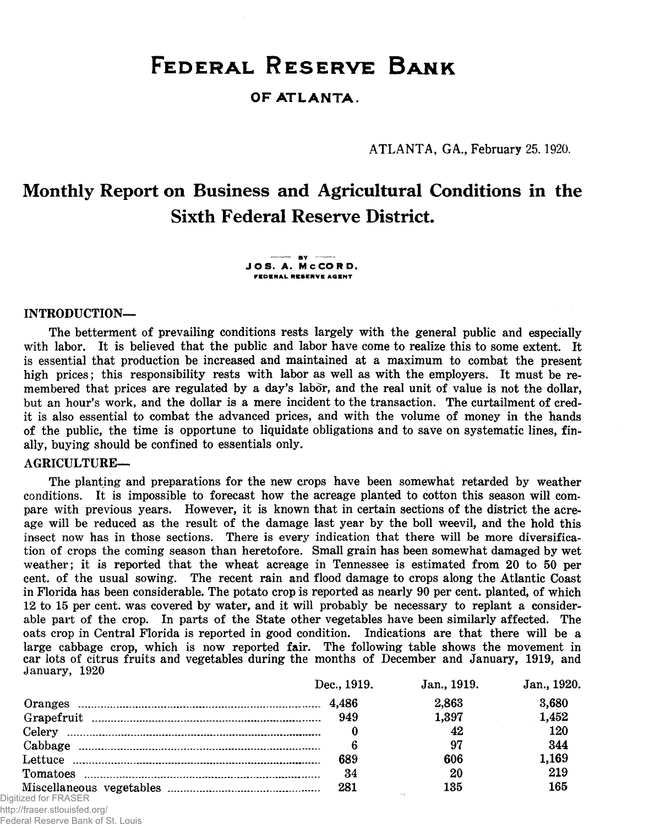# FEDERAL RESERVE BANK

**OF ATLANTA.** 

ATLANTA, GA., February 25.1920.

# Monthly Report on Business and Agricultural Conditions in the Sixth Federal Reserve District.

 $-$  BY  $-$ **J O S . A. M C C O R D ,** FEDERAL RESERVE AGENT

## INTRODUCTION—

The betterment of prevailing conditions rests largely with the general public and especially with labor. It is believed that the public and labor have come to realize this to some extent. It is essential that production be increased and maintained at a maximum to combat the present high prices; this responsibility rests with labor as well as with the employers. It must be remembered that prices are regulated by a day's labor, and the real unit of value is not the dollar. but an hour's work, and the dollar is a mere incident to the transaction. The curtailment of credit is also essential to combat the advanced prices, and with the volume of money in the hands of the public, the time is opportune to liquidate obligations and to save on systematic lines, finally, buying should be confined to essentials only.

#### AGRICULTURE—

The planting and preparations for the new crops have been somewhat retarded by weather conditions. It is impossible to forecast how the acreage planted to cotton this season will compare with previous years. However, it is known that in certain sections of the district the acreage will be reduced as the result of the damage last year by the boll weevil, and the hold this insect now has in those sections. There is every indication that there will be more diversification of crops the coming season than heretofore. Small grain has been somewhat damaged by wet weather; it is reported that the wheat acreage in Tennessee is estimated from 20 to 50 per cent, of the usual sowing. The recent rain and flood damage to crops along the Atlantic Coast in Florida has been considerable. The potato crop is reported as nearly 90 per cent, planted, of which 12 to 15 per cent, was covered by w ater, and it will probably be necessary to replant a considerable part of the crop. In parts of the State other vegetables have been similarly affected. The oats crop in Central Florida is reported in good condition. Indications are that there will be a large cabbage crop, which is now reported  $fair$ . The following table shows the movement in car lots of citrus fruits and vegetables during the months of December and January, 1919, and January, 1920

|                               | Dec., 1919. | Jan., 1919. | Jan., 1920. |
|-------------------------------|-------------|-------------|-------------|
|                               |             | 2.863       | 3,680       |
|                               |             | 1.397       | 1,452       |
|                               |             | 42          | 120         |
|                               | 6           | 97          | 344         |
|                               | 689         | 606         | 1.169       |
|                               | 34          | 20          | 219         |
|                               | 281         | 135         | 165         |
| Digitized for FRASER          |             |             |             |
| http://fraser.stlouisfed.org/ |             |             |             |

Federal Reserve Bank of St. Louis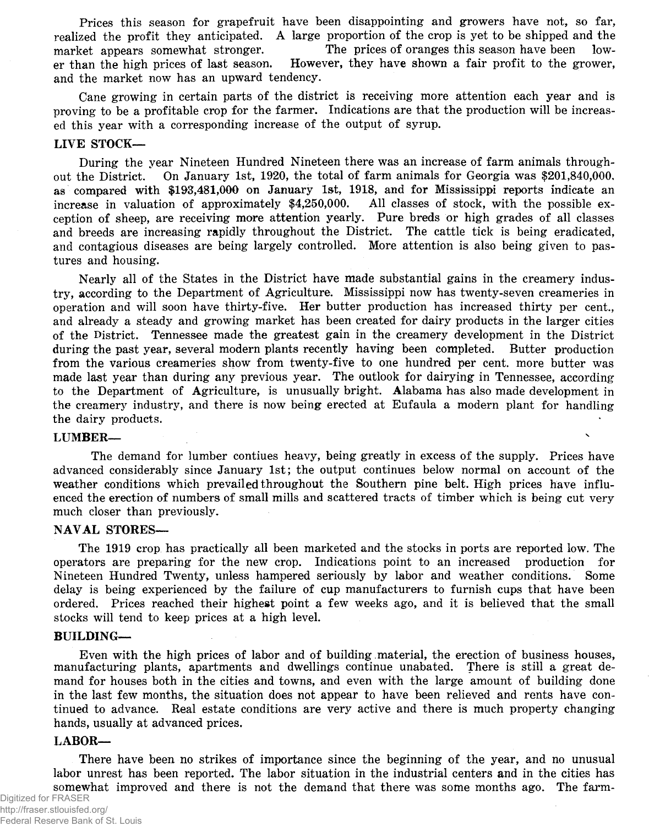Prices this season for grape fruit have been disappointing and growers have not, so far, realized the profit they anticipated. A large proportion of the crop is yet to be shipped and the<br>market annears somewhat stronger. The prices of oranges this season have been lowmarket appears somewhat stronger. The prices of oranges this season have been lower than the high prices of last season. However, they have shown a fair profit to the grower, and the market now has an upward tendency.

Cane growing in certain parts of the district is receiving more attention each year and is proving to be a profitable crop for the farmer. Indications are that the production will be increased this year with a corresponding increase of the output of syrup.

#### LIVE STOCK—

During the year Nineteen Hundred Nineteen there was an increase of farm animals throughout the District. On January 1st, 1920, the total of farm animals for Georgia was  $$201,840,000$ . as compared with  $$193,481,000$  on January 1st, 1918, and for Mississippi reports indicate an increase in valuation of approximately  $$4.250,000$ . All classes of stock, with the possible exincrease in valuation of approximately  $$4,250,000$ . ception of sheep, are receiving more attention yearly. Pure breds or high grades of all classes and breeds are increasing rapidly throughout the District. The cattle tick is being eradicated, and contagious diseases are being largely controlled. More attention is also being given to pastures and housing.

Nearly all of the States in the District have made substantial gains in the creamery industry, according to the Department of Agriculture. Mississippi now has twenty-seven creameries in operation and will soon have thirty-five. Her butter production has increased thirty per cent. and already a steady and growing market has been created for dairy products in the larger cities of the District. Tennessee made the greatest gain in the creamery development in the District during the past year, several modern plants recently having been completed. Butter production from the various creameries show from twenty-five to one hundred per cent, more butter was made last year than during any previous year. The outlook for dairying in Tennessee, according to the Department of Agriculture, is unusually bright. Alabama has also made development in the creamery industry, and there is now being erected at Eufaula a modern plant for handling the dairy products.

#### LUMBER—

The demand for lumber contiues heavy, being greatly in excess of the supply. Prices have advanced considerably since January 1st; the output continues below normal on account of the weather conditions which prevailed throughout the Southern pine belt. High prices have influenced the erection of numbers of small mills and scattered tracts of timber which is being cut very much closer than previously.

#### NAVAL STORES—

The 1919 crop has practically all been marketed and the stocks in ports are reported low. The operators are preparing for the new crop. Indications point to an increased production for Nineteen Hundred Twenty, unless hampered seriously by labor and weather conditions. Some delay is being experienced by the failure of cup manufacturers to furnish cups that have been ordered. Prices reached their highest point a few weeks ago, and it is believed that the small stocks will tend to keep prices at a high level.

#### BUILDING—

Even with the high prices of labor and of building material, the erection of business houses, manufacturing plants, apartments and dwellings continue unabated. There is still a great demand for houses both in the cities and towns, and even with the large amount of building done in the last few months, the situation does not appear to have been relieved and rents have continued to advance. Real estate conditions are very active and there is much property changing hands, usually at advanced prices.

## LABOR—

There have been no strikes of importance since the beginning of the year, and no unusual labor unrest has been reported. The labor situation in the industrial centers and in the cities has somewhat improved and there is not the demand that there was some months ago. The farm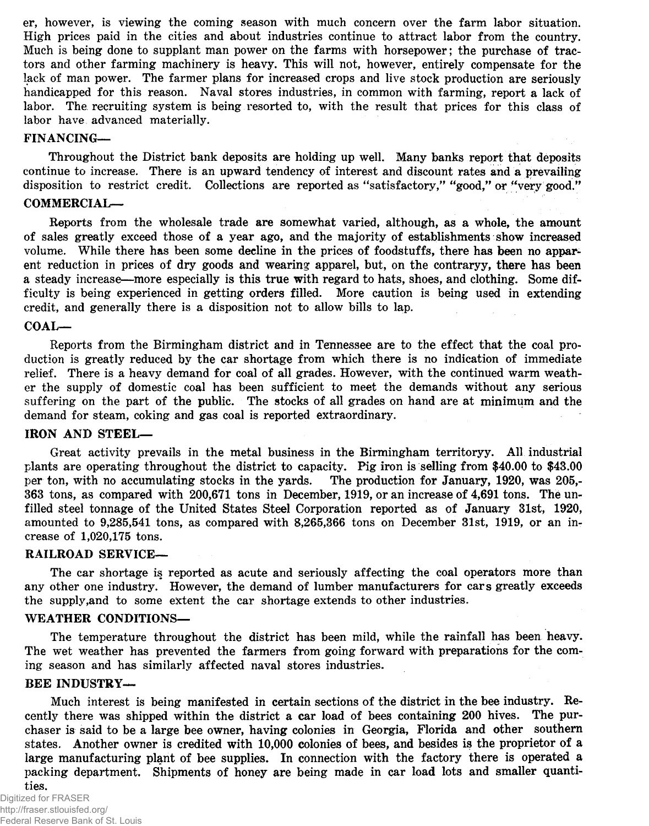er, however, is viewing the coming season with much concern over the farm labor situation. High prices paid in the cities and about industries continue to attract labor from the country. Much is being done to supplant man power on the farms with horsepower; the purchase of tractors and other farming machinery is heavy. This will not, however, entirely compensate for the lack of man power. The farmer plans for increased crops and live stock production are seriously handicapped for this reason. Naval stores industries, in common with farming, report a lack of labor. The recruiting system is being resorted to, with the result that prices for this class of labor have advanced materially.

## FINANCING—

Throughout the District bank deposits are holding up well. Many banks report that deposits continue to increase. There is an upward tendency of interest and discount rates and a prevailing disposition to restrict credit. Collections are reported as "satisfactory," "good," or "very good."

## COMMERCIAL—

Reports from the wholesale trade are somewhat varied, although, as a whole, the amount of sales greatly exceed those of a year ago, and the majority of establishments show increased volume. While there has been some decline in the prices of foodstuffs, there has been no apparent reduction in prices of dry goods and wearing apparel, but, on the contraryy, there has been a steady increase—more especially is this true with regard to hats, shoes, and clothing. Some difficulty is being experienced in getting orders filled. More caution is being used in extending credit, and generally there is a disposition not to allow bills to lap.

## COAL—

Reports from the Birmingham district and in Tennessee are to the effect that the coal production is greatly reduced by the car shortage from which there is no indication of immediate relief. There is a heavy demand for coal of all grades. However, with the continued warm weather the supply of domestic coal has been sufficient to meet the demands without any serious suffering on the part of the public. The stocks of all grades on hand are at minimum and the demand for steam, coking and gas coal is reported extraordinary.

## IRON AND STEEL—

Great activity prevails in the metal business in the Birmingham territoryy. All industrial plants are operating throughout the district to capacity. Pig iron is selling from \$40.00 to \$43.00 per ton, with no accumulating stocks in the yards. The production for January, 1920, was 205,per ton, with no accumulating stocks in the yards. 363 tons, as compared with 200,671 tons in December, 1919, or an increase of 4,691 tons. The unfilled steel tonnage of the United States Steel Corporation reported as of January 31st, 1920, amounted to 9,285,541 tons, as compared with 8,265,366 tons on December 31st, 1919, or an increase of 1,020,175 tons.

## RAILROAD SERVICE—

The car shortage is reported as acute and seriously affecting the coal operators more than any other one industry. However, the demand of lumber manufacturers for cars greatly exceeds the supply, and to some extent the car shortage extends to other industries.

## WEATHER CONDITIONS-

The temperature throughout the district has been mild, while the rainfall has been heavy. The wet weather has prevented the farmers from going forward with preparations for the coming season and has similarly affected naval stores industries.

#### BEE INDUSTRY—

Much interest is being manifested in certain sections of the district in the bee industry. Recently there was shipped within the district a car load of bees containing 200 hives. The purchaser is said to be a large bee owner, having colonies in Georgia, Florida and other southern states. Another owner is credited with 10,000 colonies of bees, and besides is the proprietor of a large manufacturing plant of bee supplies. In connection with the factory there is operated a packing department. Shipments of honey are being made in car load lots and smaller quantities.